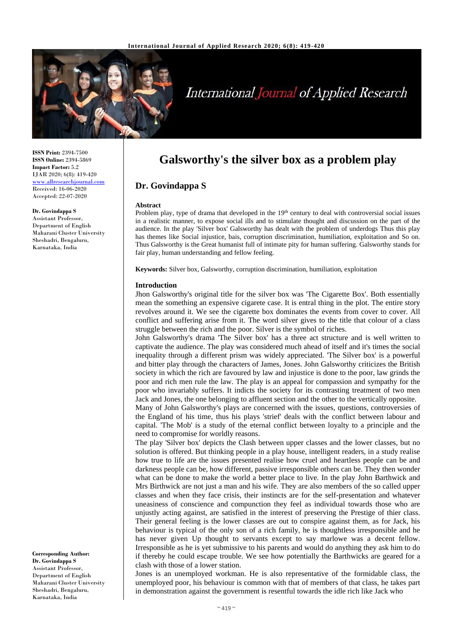

# **International Journal of Applied Research**

**ISSN Print:** 2394-7500 **ISSN Online:** 2394-5869 **Impact Factor:** 5.2 IJAR 2020; 6(8): 419-420 <www.allresearchjournal.com> Received: 16-06-2020 Accepted: 22-07-2020

**Dr. Govindappa S** Assistant Professor, Department of English Maharani Cluster University Sheshadri, Bengaluru, Karnataka, India

**Corresponding Author: Dr. Govindappa S** Assistant Professor, Department of English Maharani Cluster University Sheshadri, Bengaluru, Karnataka, India

# **Galsworthy's the silver box as a problem play**

## **Dr. Govindappa S**

#### **Abstract**

Problem play, type of drama that developed in the 19<sup>th</sup> century to deal with controversial social issues in a realistic manner, to expose social ills and to stimulate thought and discussion on the part of the audience. In the play 'Silver box' Galsworthy has dealt with the problem of underdogs Thus this play has themes like Social injustice, bais, corruption discrimination, humiliation, exploitation and So on. Thus Galsworthy is the Great humanist full of intimate pity for human suffering. Galsworthy stands for fair play, human understanding and fellow feeling.

**Keywords:** Silver box, Galsworthy, corruption discrimination, humiliation, exploitation

#### **Introduction**

Jhon Galsworthy's original title for the silver box was 'The Cigarette Box'. Both essentially mean the something an expensive cigarete case. It is entral thing in the plot. The entire story revolves around it. We see the cigarette box dominates the events from cover to cover. All conflict and suffering arise from it. The word silver gives to the title that colour of a class struggle between the rich and the poor. Silver is the symbol of riches.

John Galsworthy's drama 'The Silver box' has a three act structure and is well written to captivate the audience. The play was considered much ahead of itself and it's times the social inequality through a different prism was widely appreciated. 'The Silver box' is a powerful and bitter play through the characters of James, Jones. John Galsworthy criticizes the British society in which the rich are favoured by law and injustice is done to the poor, law grinds the poor and rich men rule the law. The play is an appeal for compassion and sympathy for the poor who invariably suffers. It indicts the society for its contrasting treatment of two men Jack and Jones, the one belonging to affluent section and the other to the vertically opposite.

Many of John Galsworthy's plays are concerned with the issues, questions, controversies of the England of his time, thus his plays 'strief' deals with the conflict between labour and capital. 'The Mob' is a study of the eternal conflict between loyalty to a principle and the need to compromise for worldly reasons.

The play 'Silver box' depicts the Clash between upper classes and the lower classes, but no solution is offered. But thinking people in a play house, intelligent readers, in a study realise how true to life are the issues presented realise how cruel and heartless people can be and darkness people can be, how different, passive irresponsible others can be. They then wonder what can be done to make the world a better place to live. In the play John Barthwick and Mrs Birthwick are not just a man and his wife. They are also members of the so called upper classes and when they face crisis, their instincts are for the self-presentation and whatever uneasiness of conscience and compunction they feel as individual towards those who are unjustly acting against, are satisfied in the interest of preserving the Prestige of thier class. Their general feeling is the lower classes are out to conspire against them, as for Jack, his behaviour is typical of the only son of a rich family, he is thoughtless irresponsible and he has never given Up thought to servants except to say marlowe was a decent fellow. Irresponsible as he is yet submissive to his parents and would do anything they ask him to do if thereby he could escape trouble. We see how potentially the Barthwicks are geared for a clash with those of a lower station.

Jones is an unemployed workman. He is also representative of the formidable class, the unemployed poor, his behaviour is common with that of members of that class, he takes part in demonstration against the government is resentful towards the idle rich like Jack who